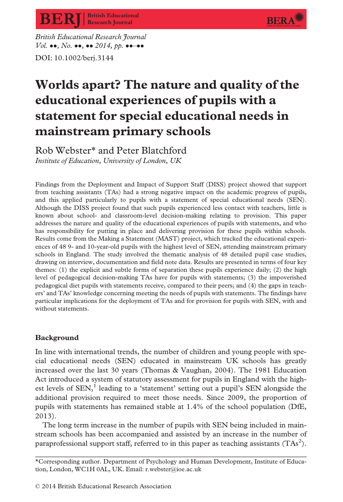

British Educational Research Journal  $Vol. \bullet\bullet, No. \bullet\bullet, \bullet\bullet 2014, pp. \bullet\bullet\bullet\bullet$ DOI: 10.1002/berj.3144

Worlds apart? The nature and quality of the educational experiences of pupils with a statement for special educational needs in mainstream primary schools

Rob Webster\* and Peter Blatchford Institute of Education, University of London, UK

Findings from the Deployment and Impact of Support Staff (DISS) project showed that support from teaching assistants (TAs) had a strong negative impact on the academic progress of pupils, and this applied particularly to pupils with a statement of special educational needs (SEN). Although the DISS project found that such pupils experienced less contact with teachers, little is known about school- and classroom-level decision-making relating to provision. This paper addresses the nature and quality of the educational experiences of pupils with statements, and who has responsibility for putting in place and delivering provision for these pupils within schools. Results come from the Making a Statement (MAST) project, which tracked the educational experiences of 48 9- and 10-year-old pupils with the highest level of SEN, attending mainstream primary schools in England. The study involved the thematic analysis of 48 detailed pupil case studies, drawing on interview, documentation and field note data. Results are presented in terms of four key themes: (1) the explicit and subtle forms of separation these pupils experience daily; (2) the high level of pedagogical decision-making TAs have for pupils with statements; (3) the impoverished pedagogical diet pupils with statements receive, compared to their peers; and (4) the gaps in teachers' and TAs' knowledge concerning meeting the needs of pupils with statements. The findings have particular implications for the deployment of TAs and for provision for pupils with SEN, with and without statements.

#### Background

In line with international trends, the number of children and young people with special educational needs (SEN) educated in mainstream UK schools has greatly increased over the last 30 years (Thomas & Vaughan, 2004). The 1981 Education Act introduced a system of statutory assessment for pupils in England with the highest levels of  $SEM$ , leading to a 'statement' setting out a pupil's SEN alongside the additional provision required to meet those needs. Since 2009, the proportion of pupils with statements has remained stable at 1.4% of the school population (DfE, 2013).

The long term increase in the number of pupils with SEN being included in mainstream schools has been accompanied and assisted by an increase in the number of paraprofessional support staff, referred to in this paper as teaching assistants (TAs<sup>2</sup>).

<sup>\*</sup>Corresponding author. Department of Psychology and Human Development, Institute of Education, London, WC1H 0AL, UK. Email: r.webster@ioe.ac.uk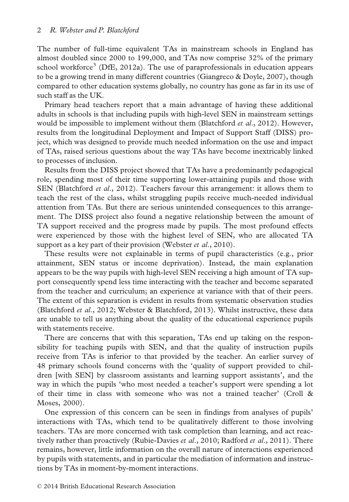The number of full-time equivalent TAs in mainstream schools in England has almost doubled since 2000 to 199,000, and TAs now comprise 32% of the primary school workforce<sup>3</sup> (DfE, 2012a). The use of paraprofessionals in education appears to be a growing trend in many different countries (Giangreco & Doyle, 2007), though compared to other education systems globally, no country has gone as far in its use of such staff as the UK.

Primary head teachers report that a main advantage of having these additional adults in schools is that including pupils with high-level SEN in mainstream settings would be impossible to implement without them (Blatchford et al., 2012). However, results from the longitudinal Deployment and Impact of Support Staff (DISS) project, which was designed to provide much needed information on the use and impact of TAs, raised serious questions about the way TAs have become inextricably linked to processes of inclusion.

Results from the DISS project showed that TAs have a predominantly pedagogical role, spending most of their time supporting lower-attaining pupils and those with SEN (Blatchford *et al.*, 2012). Teachers favour this arrangement: it allows them to teach the rest of the class, whilst struggling pupils receive much-needed individual attention from TAs. But there are serious unintended consequences to this arrangement. The DISS project also found a negative relationship between the amount of TA support received and the progress made by pupils. The most profound effects were experienced by those with the highest level of SEN, who are allocated TA support as a key part of their provision (Webster et al., 2010).

These results were not explainable in terms of pupil characteristics (e.g., prior attainment, SEN status or income deprivation). Instead, the main explanation appears to be the way pupils with high-level SEN receiving a high amount of TA support consequently spend less time interacting with the teacher and become separated from the teacher and curriculum; an experience at variance with that of their peers. The extent of this separation is evident in results from systematic observation studies (Blatchford et al., 2012; Webster & Blatchford, 2013). Whilst instructive, these data are unable to tell us anything about the quality of the educational experience pupils with statements receive.

There are concerns that with this separation, TAs end up taking on the responsibility for teaching pupils with SEN, and that the quality of instruction pupils receive from TAs is inferior to that provided by the teacher. An earlier survey of 48 primary schools found concerns with the 'quality of support provided to children [with SEN] by classroom assistants and learning support assistants', and the way in which the pupils 'who most needed a teacher's support were spending a lot of their time in class with someone who was not a trained teacher' (Croll & Moses, 2000).

One expression of this concern can be seen in findings from analyses of pupils' interactions with TAs, which tend to be qualitatively different to those involving teachers. TAs are more concerned with task completion than learning, and act reactively rather than proactively (Rubie-Davies et al., 2010; Radford et al., 2011). There remains, however, little information on the overall nature of interactions experienced by pupils with statements, and in particular the mediation of information and instructions by TAs in moment-by-moment interactions.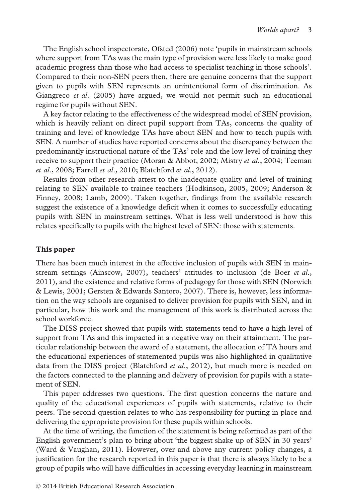The English school inspectorate, Ofsted (2006) note 'pupils in mainstream schools where support from TAs was the main type of provision were less likely to make good academic progress than those who had access to specialist teaching in those schools'. Compared to their non-SEN peers then, there are genuine concerns that the support given to pupils with SEN represents an unintentional form of discrimination. As Giangreco *et al.* (2005) have argued, we would not permit such an educational regime for pupils without SEN.

A key factor relating to the effectiveness of the widespread model of SEN provision, which is heavily reliant on direct pupil support from TAs, concerns the quality of training and level of knowledge TAs have about SEN and how to teach pupils with SEN. A number of studies have reported concerns about the discrepancy between the predominantly instructional nature of the TAs' role and the low level of training they receive to support their practice (Moran & Abbot, 2002; Mistry et al., 2004; Teeman et al., 2008; Farrell et al., 2010; Blatchford et al., 2012).

Results from other research attest to the inadequate quality and level of training relating to SEN available to trainee teachers (Hodkinson, 2005, 2009; Anderson & Finney, 2008; Lamb, 2009). Taken together, findings from the available research suggest the existence of a knowledge deficit when it comes to successfully educating pupils with SEN in mainstream settings. What is less well understood is how this relates specifically to pupils with the highest level of SEN: those with statements.

## This paper

There has been much interest in the effective inclusion of pupils with SEN in mainstream settings (Ainscow, 2007), teachers' attitudes to inclusion (de Boer et al., 2011), and the existence and relative forms of pedagogy for those with SEN (Norwich & Lewis, 2001; Gersten & Edwards Santoro, 2007). There is, however, less information on the way schools are organised to deliver provision for pupils with SEN, and in particular, how this work and the management of this work is distributed across the school workforce.

The DISS project showed that pupils with statements tend to have a high level of support from TAs and this impacted in a negative way on their attainment. The particular relationship between the award of a statement, the allocation of TA hours and the educational experiences of statemented pupils was also highlighted in qualitative data from the DISS project (Blatchford *et al.*, 2012), but much more is needed on the factors connected to the planning and delivery of provision for pupils with a statement of SEN.

This paper addresses two questions. The first question concerns the nature and quality of the educational experiences of pupils with statements, relative to their peers. The second question relates to who has responsibility for putting in place and delivering the appropriate provision for these pupils within schools.

At the time of writing, the function of the statement is being reformed as part of the English government's plan to bring about 'the biggest shake up of SEN in 30 years' (Ward & Vaughan, 2011). However, over and above any current policy changes, a justification for the research reported in this paper is that there is always likely to be a group of pupils who will have difficulties in accessing everyday learning in mainstream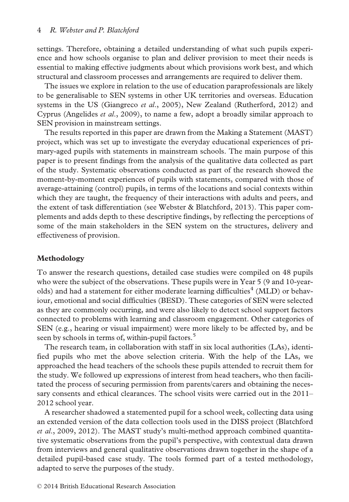settings. Therefore, obtaining a detailed understanding of what such pupils experience and how schools organise to plan and deliver provision to meet their needs is essential to making effective judgments about which provisions work best, and which structural and classroom processes and arrangements are required to deliver them.

The issues we explore in relation to the use of education paraprofessionals are likely to be generalisable to SEN systems in other UK territories and overseas. Education systems in the US (Giangreco *et al.*, 2005), New Zealand (Rutherford, 2012) and Cyprus (Angelides et al., 2009), to name a few, adopt a broadly similar approach to SEN provision in mainstream settings.

The results reported in this paper are drawn from the Making a Statement (MAST) project, which was set up to investigate the everyday educational experiences of primary-aged pupils with statements in mainstream schools. The main purpose of this paper is to present findings from the analysis of the qualitative data collected as part of the study. Systematic observations conducted as part of the research showed the moment-by-moment experiences of pupils with statements, compared with those of average-attaining (control) pupils, in terms of the locations and social contexts within which they are taught, the frequency of their interactions with adults and peers, and the extent of task differentiation (see Webster & Blatchford, 2013). This paper complements and adds depth to these descriptive findings, by reflecting the perceptions of some of the main stakeholders in the SEN system on the structures, delivery and effectiveness of provision.

## Methodology

To answer the research questions, detailed case studies were compiled on 48 pupils who were the subject of the observations. These pupils were in Year 5 (9 and 10-yearolds) and had a statement for either moderate learning difficulties<sup>4</sup> (MLD) or behaviour, emotional and social difficulties (BESD). These categories of SEN were selected as they are commonly occurring, and were also likely to detect school support factors connected to problems with learning and classroom engagement. Other categories of SEN (e.g., hearing or visual impairment) were more likely to be affected by, and be seen by schools in terms of, within-pupil factors.<sup>5</sup>

The research team, in collaboration with staff in six local authorities (LAs), identified pupils who met the above selection criteria. With the help of the LAs, we approached the head teachers of the schools these pupils attended to recruit them for the study. We followed up expressions of interest from head teachers, who then facilitated the process of securing permission from parents/carers and obtaining the necessary consents and ethical clearances. The school visits were carried out in the 2011– 2012 school year.

A researcher shadowed a statemented pupil for a school week, collecting data using an extended version of the data collection tools used in the DISS project (Blatchford et al., 2009, 2012). The MAST study's multi-method approach combined quantitative systematic observations from the pupil's perspective, with contextual data drawn from interviews and general qualitative observations drawn together in the shape of a detailed pupil-based case study. The tools formed part of a tested methodology, adapted to serve the purposes of the study.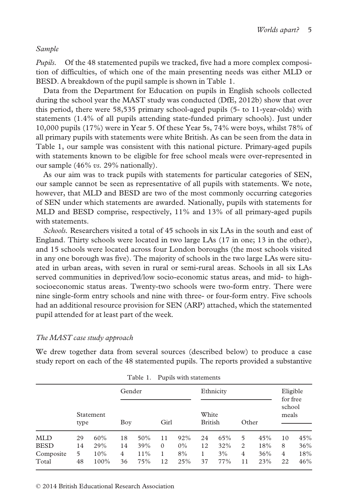### Sample

Pupils. Of the 48 statemented pupils we tracked, five had a more complex composition of difficulties, of which one of the main presenting needs was either MLD or BESD. A breakdown of the pupil sample is shown in Table 1.

Data from the Department for Education on pupils in English schools collected during the school year the MAST study was conducted (DfE, 2012b) show that over this period, there were 58,535 primary school-aged pupils (5- to 11-year-olds) with statements (1.4% of all pupils attending state-funded primary schools). Just under 10,000 pupils (17%) were in Year 5. Of these Year 5s, 74% were boys, whilst 78% of all primary pupils with statements were white British. As can be seen from the data in Table 1, our sample was consistent with this national picture. Primary-aged pupils with statements known to be eligible for free school meals were over-represented in our sample (46% vs. 29% nationally).

As our aim was to track pupils with statements for particular categories of SEN, our sample cannot be seen as representative of all pupils with statements. We note, however, that MLD and BESD are two of the most commonly occurring categories of SEN under which statements are awarded. Nationally, pupils with statements for MLD and BESD comprise, respectively, 11% and 13% of all primary-aged pupils with statements.

Schools. Researchers visited a total of 45 schools in six LAs in the south and east of England. Thirty schools were located in two large LAs (17 in one; 13 in the other), and 15 schools were located across four London boroughs (the most schools visited in any one borough was five). The majority of schools in the two large LAs were situated in urban areas, with seven in rural or semi-rural areas. Schools in all six LAs served communities in deprived/low socio-economic status areas, and mid- to highsocioeconomic status areas. Twenty-two schools were two-form entry. There were nine single-form entry schools and nine with three- or four-form entry. Five schools had an additional resource provision for SEN (ARP) attached, which the statemented pupil attended for at least part of the week.

## The MAST case study approach

We drew together data from several sources (described below) to produce a case study report on each of the 48 statemented pupils. The reports provided a substantive

|             |                   |      | Gender |        |          |       | Ethnicity               |     |       |     | Eligible<br>for free |        |
|-------------|-------------------|------|--------|--------|----------|-------|-------------------------|-----|-------|-----|----------------------|--------|
|             | Statement<br>type |      | Boy    |        | Girl     |       | White<br><b>British</b> |     | Other |     | school<br>meals      |        |
| <b>MLD</b>  | 29                | 60%  | 18     | 50%    | 11       | 92%   | 24                      | 65% | 5     | 45% | 10                   | 45%    |
| <b>BESD</b> | 14                | 29%  | 14     | 39%    | $\Omega$ | $0\%$ | 12                      | 32% | 2     | 18% | 8                    | $36\%$ |
| Composite   | 5                 | 10%  | 4      | $11\%$ | 1        | 8%    | 37                      | 3%  | 4     | 36% | 4                    | 18%    |
| Total       | 48                | 100% | 36     | 75%    | 12       | 25%   |                         | 77% | 11    | 23% | 22                   | 46%    |

Table 1. Pupils with statements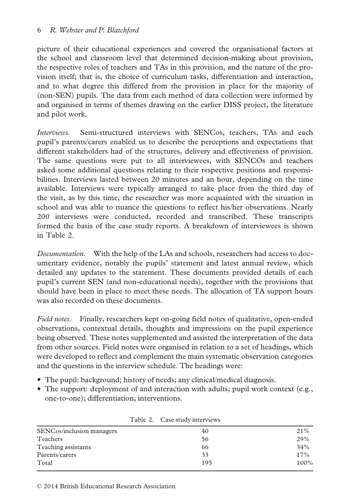picture of their educational experiences and covered the organisational factors at the school and classroom level that determined decision-making about provision, the respective roles of teachers and TAs in this provision, and the nature of the provision itself; that is, the choice of curriculum tasks, differentiation and interaction, and to what degree this differed from the provision in place for the majority of (non-SEN) pupils. The data from each method of data collection were informed by and organised in terms of themes drawing on the earlier DISS project, the literature and pilot work.

Interviews. Semi-structured interviews with SENCos, teachers, TAs and each pupil's parents/carers enabled us to describe the perceptions and expectations that different stakeholders had of the structures, delivery and effectiveness of provision. The same questions were put to all interviewees, with SENCOs and teachers asked some additional questions relating to their respective positions and responsibilities. Interviews lasted between 20 minutes and an hour, depending on the time available. Interviews were typically arranged to take place from the third day of the visit, as by this time, the researcher was more acquainted with the situation in school and was able to nuance the questions to reflect his/her observations. Nearly 200 interviews were conducted, recorded and transcribed. These transcripts formed the basis of the case study reports. A breakdown of interviewees is shown in Table 2.

Documentation. With the help of the LAs and schools, researchers had access to documentary evidence, notably the pupils' statement and latest annual review, which detailed any updates to the statement. These documents provided details of each pupil's current SEN (and non-educational needs), together with the provisions that should have been in place to meet these needs. The allocation of TA support hours was also recorded on these documents.

Field notes. Finally, researchers kept on-going field notes of qualitative, open-ended observations, contextual details, thoughts and impressions on the pupil experience being observed. These notes supplemented and assisted the interpretation of the data from other sources. Field notes were organised in relation to a set of headings, which were developed to reflect and complement the main systematic observation categories and the questions in the interview schedule. The headings were:

- The pupil: background; history of needs; any clinical/medical diagnosis.
- The support: deployment of and interaction with adults; pupil work context (e.g., one-to-one); differentiation; interventions.

| 40  | 21%  |
|-----|------|
| 56  | 29%  |
| 66  | 34%  |
| 33  | 17%  |
| 195 | 100% |
|     |      |

Table 2. Case study interviews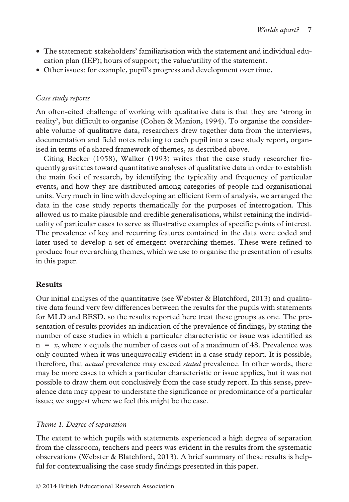- The statement: stakeholders' familiarisation with the statement and individual education plan (IEP); hours of support; the value/utility of the statement.
- Other issues: for example, pupil's progress and development over time.

## Case study reports

An often-cited challenge of working with qualitative data is that they are 'strong in reality', but difficult to organise (Cohen & Manion, 1994). To organise the considerable volume of qualitative data, researchers drew together data from the interviews, documentation and field notes relating to each pupil into a case study report, organised in terms of a shared framework of themes, as described above.

Citing Becker (1958), Walker (1993) writes that the case study researcher frequently gravitates toward quantitative analyses of qualitative data in order to establish the main foci of research, by identifying the typicality and frequency of particular events, and how they are distributed among categories of people and organisational units. Very much in line with developing an efficient form of analysis, we arranged the data in the case study reports thematically for the purposes of interrogation. This allowed us to make plausible and credible generalisations, whilst retaining the individuality of particular cases to serve as illustrative examples of specific points of interest. The prevalence of key and recurring features contained in the data were coded and later used to develop a set of emergent overarching themes. These were refined to produce four overarching themes, which we use to organise the presentation of results in this paper.

# Results

Our initial analyses of the quantitative (see Webster & Blatchford, 2013) and qualitative data found very few differences between the results for the pupils with statements for MLD and BESD, so the results reported here treat these groups as one. The presentation of results provides an indication of the prevalence of findings, by stating the number of case studies in which a particular characteristic or issue was identified as  $n = x$ , where x equals the number of cases out of a maximum of 48. Prevalence was only counted when it was unequivocally evident in a case study report. It is possible, therefore, that *actual* prevalence may exceed *stated* prevalence. In other words, there may be more cases to which a particular characteristic or issue applies, but it was not possible to draw them out conclusively from the case study report. In this sense, prevalence data may appear to understate the significance or predominance of a particular issue; we suggest where we feel this might be the case.

# Theme 1. Degree of separation

The extent to which pupils with statements experienced a high degree of separation from the classroom, teachers and peers was evident in the results from the systematic observations (Webster & Blatchford, 2013). A brief summary of these results is helpful for contextualising the case study findings presented in this paper.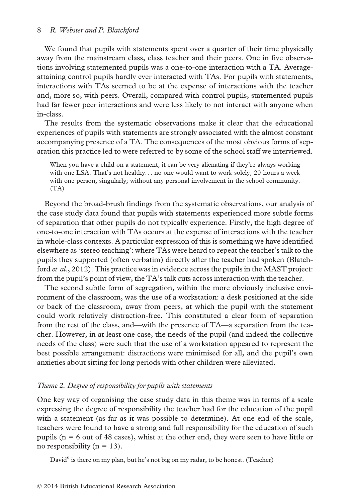We found that pupils with statements spent over a quarter of their time physically away from the mainstream class, class teacher and their peers. One in five observations involving statemented pupils was a one-to-one interaction with a TA. Averageattaining control pupils hardly ever interacted with TAs. For pupils with statements, interactions with TAs seemed to be at the expense of interactions with the teacher and, more so, with peers. Overall, compared with control pupils, statemented pupils had far fewer peer interactions and were less likely to not interact with anyone when in-class.

The results from the systematic observations make it clear that the educational experiences of pupils with statements are strongly associated with the almost constant accompanying presence of a TA. The consequences of the most obvious forms of separation this practice led to were referred to by some of the school staff we interviewed.

When you have a child on a statement, it can be very alienating if they're always working with one LSA. That's not healthy... no one would want to work solely, 20 hours a week with one person, singularly; without any personal involvement in the school community.  $(TA)$ 

Beyond the broad-brush findings from the systematic observations, our analysis of the case study data found that pupils with statements experienced more subtle forms of separation that other pupils do not typically experience. Firstly, the high degree of one-to-one interaction with TAs occurs at the expense of interactions with the teacher in whole-class contexts. A particular expression of this is something we have identified elsewhere as 'stereo teaching': where TAs were heard to repeat the teacher's talk to the pupils they supported (often verbatim) directly after the teacher had spoken (Blatchford et al., 2012). This practice was in evidence across the pupils in the MAST project: from the pupil's point of view, the TA's talk cuts across interaction with the teacher.

The second subtle form of segregation, within the more obviously inclusive environment of the classroom, was the use of a workstation: a desk positioned at the side or back of the classroom, away from peers, at which the pupil with the statement could work relatively distraction-free. This constituted a clear form of separation from the rest of the class, and—with the presence of TA—a separation from the teacher. However, in at least one case, the needs of the pupil (and indeed the collective needs of the class) were such that the use of a workstation appeared to represent the best possible arrangement: distractions were minimised for all, and the pupil's own anxieties about sitting for long periods with other children were alleviated.

#### Theme 2. Degree of responsibility for pupils with statements

One key way of organising the case study data in this theme was in terms of a scale expressing the degree of responsibility the teacher had for the education of the pupil with a statement (as far as it was possible to determine). At one end of the scale, teachers were found to have a strong and full responsibility for the education of such pupils ( $n = 6$  out of 48 cases), whist at the other end, they were seen to have little or no responsibility ( $n = 13$ ).

David $<sup>6</sup>$  is there on my plan, but he's not big on my radar, to be honest. (Teacher)</sup>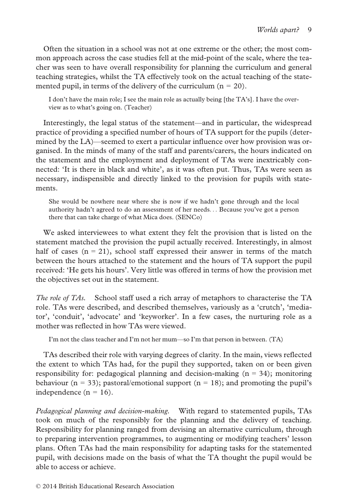Often the situation in a school was not at one extreme or the other; the most common approach across the case studies fell at the mid-point of the scale, where the teacher was seen to have overall responsibility for planning the curriculum and general teaching strategies, whilst the TA effectively took on the actual teaching of the statemented pupil, in terms of the delivery of the curriculum  $(n = 20)$ .

I don't have the main role; I see the main role as actually being [the TA's]. I have the overview as to what's going on. (Teacher)

Interestingly, the legal status of the statement—and in particular, the widespread practice of providing a specified number of hours of TA support for the pupils (determined by the LA)—seemed to exert a particular influence over how provision was organised. In the minds of many of the staff and parents/carers, the hours indicated on the statement and the employment and deployment of TAs were inextricably connected: 'It is there in black and white', as it was often put. Thus, TAs were seen as necessary, indispensible and directly linked to the provision for pupils with statements.

She would be nowhere near where she is now if we hadn't gone through and the local authority hadn't agreed to do an assessment of her needs... Because you've got a person there that can take charge of what Mica does. (SENCo)

We asked interviewees to what extent they felt the provision that is listed on the statement matched the provision the pupil actually received. Interestingly, in almost half of cases  $(n = 21)$ , school staff expressed their answer in terms of the match between the hours attached to the statement and the hours of TA support the pupil received: 'He gets his hours'. Very little was offered in terms of how the provision met the objectives set out in the statement.

The role of TAs. School staff used a rich array of metaphors to characterise the TA role. TAs were described, and described themselves, variously as a 'crutch', 'mediator', 'conduit', 'advocate' and 'keyworker'. In a few cases, the nurturing role as a mother was reflected in how TAs were viewed.

I'm not the class teacher and I'm not her mum—so I'm that person in between.  $(TA)$ 

TAs described their role with varying degrees of clarity. In the main, views reflected the extent to which TAs had, for the pupil they supported, taken on or been given responsibility for: pedagogical planning and decision-making  $(n = 34)$ ; monitoring behaviour ( $n = 33$ ); pastoral/emotional support ( $n = 18$ ); and promoting the pupil's independence ( $n = 16$ ).

Pedagogical planning and decision-making. With regard to statemented pupils, TAs took on much of the responsibly for the planning and the delivery of teaching. Responsibility for planning ranged from devising an alternative curriculum, through to preparing intervention programmes, to augmenting or modifying teachers' lesson plans. Often TAs had the main responsibility for adapting tasks for the statemented pupil, with decisions made on the basis of what the TA thought the pupil would be able to access or achieve.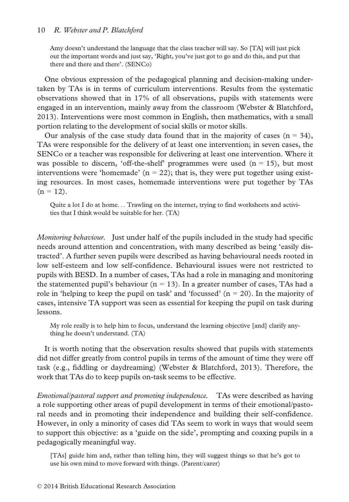#### 10 R. Webster and P. Blatchford

Amy doesn't understand the language that the class teacher will say. So [TA] will just pick out the important words and just say, 'Right, you've just got to go and do this, and put that there and there and there'. (SENCo)

One obvious expression of the pedagogical planning and decision-making undertaken by TAs is in terms of curriculum interventions. Results from the systematic observations showed that in 17% of all observations, pupils with statements were engaged in an intervention, mainly away from the classroom (Webster & Blatchford, 2013). Interventions were most common in English, then mathematics, with a small portion relating to the development of social skills or motor skills.

Our analysis of the case study data found that in the majority of cases  $(n = 34)$ , TAs were responsible for the delivery of at least one intervention; in seven cases, the SENCo or a teacher was responsible for delivering at least one intervention. Where it was possible to discern, 'off-the-shelf' programmes were used  $(n = 15)$ , but most interventions were 'homemade' ( $n = 22$ ); that is, they were put together using existing resources. In most cases, homemade interventions were put together by TAs  $(n = 12)$ .

Quite a lot I do at home... Trawling on the internet, trying to find worksheets and activities that I think would be suitable for her. (TA)

Monitoring behaviour. Just under half of the pupils included in the study had specific needs around attention and concentration, with many described as being 'easily distracted'. A further seven pupils were described as having behavioural needs rooted in low self-esteem and low self-confidence. Behavioural issues were not restricted to pupils with BESD. In a number of cases, TAs had a role in managing and monitoring the statemented pupil's behaviour ( $n = 13$ ). In a greater number of cases, TAs had a role in 'helping to keep the pupil on task' and 'focussed'  $(n = 20)$ . In the majority of cases, intensive TA support was seen as essential for keeping the pupil on task during lessons.

My role really is to help him to focus, understand the learning objective [and] clarify anything he doesn't understand. (TA)

It is worth noting that the observation results showed that pupils with statements did not differ greatly from control pupils in terms of the amount of time they were off task (e.g., fiddling or daydreaming) (Webster & Blatchford, 2013). Therefore, the work that TAs do to keep pupils on-task seems to be effective.

Emotional/pastoral support and promoting independence. TAs were described as having a role supporting other areas of pupil development in terms of their emotional/pastoral needs and in promoting their independence and building their self-confidence. However, in only a minority of cases did TAs seem to work in ways that would seem to support this objective: as a 'guide on the side', prompting and coaxing pupils in a pedagogically meaningful way.

[TAs] guide him and, rather than telling him, they will suggest things so that he's got to use his own mind to move forward with things. (Parent/carer)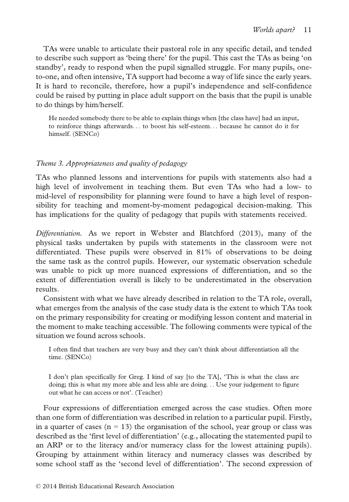TAs were unable to articulate their pastoral role in any specific detail, and tended to describe such support as 'being there' for the pupil. This cast the TAs as being 'on standby', ready to respond when the pupil signalled struggle. For many pupils, oneto-one, and often intensive, TA support had become a way of life since the early years. It is hard to reconcile, therefore, how a pupil's independence and self-confidence could be raised by putting in place adult support on the basis that the pupil is unable to do things by him/herself.

He needed somebody there to be able to explain things when [the class have] had an input, to reinforce things afterwards... to boost his self-esteem... because he cannot do it for himself. (SENCo)

# Theme 3. Appropriateness and quality of pedagogy

TAs who planned lessons and interventions for pupils with statements also had a high level of involvement in teaching them. But even TAs who had a low- to mid-level of responsibility for planning were found to have a high level of responsibility for teaching and moment-by-moment pedagogical decision-making. This has implications for the quality of pedagogy that pupils with statements received.

Differentiation. As we report in Webster and Blatchford (2013), many of the physical tasks undertaken by pupils with statements in the classroom were not differentiated. These pupils were observed in 81% of observations to be doing the same task as the control pupils. However, our systematic observation schedule was unable to pick up more nuanced expressions of differentiation, and so the extent of differentiation overall is likely to be underestimated in the observation results.

Consistent with what we have already described in relation to the TA role, overall, what emerges from the analysis of the case study data is the extent to which TAs took on the primary responsibility for creating or modifying lesson content and material in the moment to make teaching accessible. The following comments were typical of the situation we found across schools.

I often find that teachers are very busy and they can't think about differentiation all the time. (SENCo)

I don't plan specifically for Greg. I kind of say [to the TA], 'This is what the class are doing; this is what my more able and less able are doing... Use your judgement to figure out what he can access or not'. (Teacher)

Four expressions of differentiation emerged across the case studies. Often more than one form of differentiation was described in relation to a particular pupil. Firstly, in a quarter of cases  $(n = 13)$  the organisation of the school, year group or class was described as the 'first level of differentiation' (e.g., allocating the statemented pupil to an ARP or to the literacy and/or numeracy class for the lowest attaining pupils). Grouping by attainment within literacy and numeracy classes was described by some school staff as the 'second level of differentiation'. The second expression of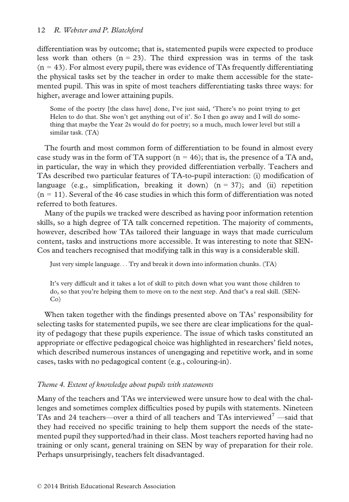differentiation was by outcome; that is, statemented pupils were expected to produce less work than others  $(n = 23)$ . The third expression was in terms of the task  $(n = 43)$ . For almost every pupil, there was evidence of TAs frequently differentiating the physical tasks set by the teacher in order to make them accessible for the statemented pupil. This was in spite of most teachers differentiating tasks three ways: for higher, average and lower attaining pupils.

Some of the poetry [the class have] done, I've just said, 'There's no point trying to get Helen to do that. She won't get anything out of it'. So I then go away and I will do something that maybe the Year 2s would do for poetry; so a much, much lower level but still a similar task. (TA)

The fourth and most common form of differentiation to be found in almost every case study was in the form of TA support ( $n = 46$ ); that is, the presence of a TA and, in particular, the way in which they provided differentiation verbally. Teachers and TAs described two particular features of TA-to-pupil interaction: (i) modification of language (e.g., simplification, breaking it down)  $(n = 37)$ ; and (ii) repetition  $(n = 11)$ . Several of the 46 case studies in which this form of differentiation was noted referred to both features.

Many of the pupils we tracked were described as having poor information retention skills, so a high degree of TA talk concerned repetition. The majority of comments, however, described how TAs tailored their language in ways that made curriculum content, tasks and instructions more accessible. It was interesting to note that SEN-Cos and teachers recognised that modifying talk in this way is a considerable skill.

Just very simple language... Try and break it down into information chunks. (TA)

It's very difficult and it takes a lot of skill to pitch down what you want those children to do, so that you're helping them to move on to the next step. And that's a real skill. (SEN-Co)

When taken together with the findings presented above on TAs' responsibility for selecting tasks for statemented pupils, we see there are clear implications for the quality of pedagogy that these pupils experience. The issue of which tasks constituted an appropriate or effective pedagogical choice was highlighted in researchers' field notes, which described numerous instances of unengaging and repetitive work, and in some cases, tasks with no pedagogical content (e.g., colouring-in).

## Theme 4. Extent of knowledge about pupils with statements

Many of the teachers and TAs we interviewed were unsure how to deal with the challenges and sometimes complex difficulties posed by pupils with statements. Nineteen TAs and 24 teachers—over a third of all teachers and TAs interviewed<sup>7</sup> —said that they had received no specific training to help them support the needs of the statemented pupil they supported/had in their class. Most teachers reported having had no training or only scant, general training on SEN by way of preparation for their role. Perhaps unsurprisingly, teachers felt disadvantaged.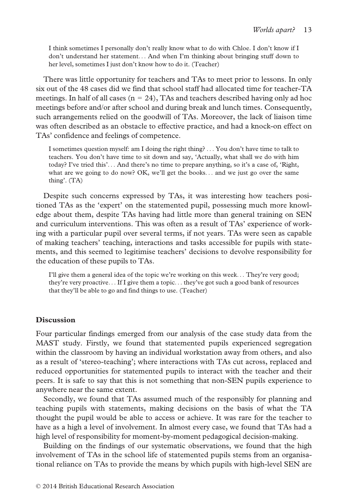I think sometimes I personally don't really know what to do with Chloe. I don't know if I don't understand her statement... And when I'm thinking about bringing stuff down to her level, sometimes I just don't know how to do it. (Teacher)

There was little opportunity for teachers and TAs to meet prior to lessons. In only six out of the 48 cases did we find that school staff had allocated time for teacher-TA meetings. In half of all cases  $(n = 24)$ , TAs and teachers described having only ad hoc meetings before and/or after school and during break and lunch times. Consequently, such arrangements relied on the goodwill of TAs. Moreover, the lack of liaison time was often described as an obstacle to effective practice, and had a knock-on effect on TAs' confidence and feelings of competence.

I sometimes question myself: am I doing the right thing? ... You don't have time to talk to teachers. You don't have time to sit down and say, 'Actually, what shall we do with him today? I've tried this'... And there's no time to prepare anything, so it's a case of, 'Right, what are we going to do now? OK, we'll get the books... and we just go over the same thing'. (TA)

Despite such concerns expressed by TAs, it was interesting how teachers positioned TAs as the 'expert' on the statemented pupil, possessing much more knowledge about them, despite TAs having had little more than general training on SEN and curriculum interventions. This was often as a result of TAs' experience of working with a particular pupil over several terms, if not years. TAs were seen as capable of making teachers' teaching, interactions and tasks accessible for pupils with statements, and this seemed to legitimise teachers' decisions to devolve responsibility for the education of these pupils to TAs.

I'll give them a general idea of the topic we're working on this week... They're very good; they're very proactive... If I give them a topic... they've got such a good bank of resources that they'll be able to go and find things to use. (Teacher)

## **Discussion**

Four particular findings emerged from our analysis of the case study data from the MAST study. Firstly, we found that statemented pupils experienced segregation within the classroom by having an individual workstation away from others, and also as a result of 'stereo-teaching'; where interactions with TAs cut across, replaced and reduced opportunities for statemented pupils to interact with the teacher and their peers. It is safe to say that this is not something that non-SEN pupils experience to anywhere near the same extent.

Secondly, we found that TAs assumed much of the responsibly for planning and teaching pupils with statements, making decisions on the basis of what the TA thought the pupil would be able to access or achieve. It was rare for the teacher to have as a high a level of involvement. In almost every case, we found that TAs had a high level of responsibility for moment-by-moment pedagogical decision-making.

Building on the findings of our systematic observations, we found that the high involvement of TAs in the school life of statemented pupils stems from an organisational reliance on TAs to provide the means by which pupils with high-level SEN are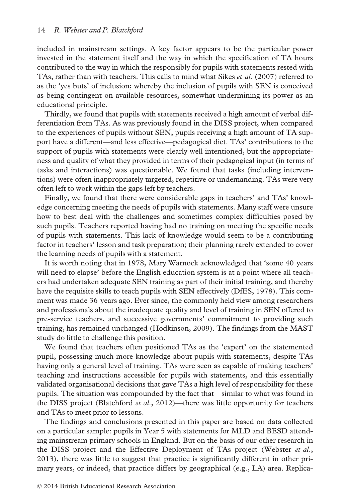included in mainstream settings. A key factor appears to be the particular power invested in the statement itself and the way in which the specification of TA hours contributed to the way in which the responsibly for pupils with statements rested with TAs, rather than with teachers. This calls to mind what Sikes *et al.* (2007) referred to as the 'yes buts' of inclusion; whereby the inclusion of pupils with SEN is conceived as being contingent on available resources, somewhat undermining its power as an educational principle.

Thirdly, we found that pupils with statements received a high amount of verbal differentiation from TAs. As was previously found in the DISS project, when compared to the experiences of pupils without SEN, pupils receiving a high amount of TA support have a different—and less effective—pedagogical diet. TAs' contributions to the support of pupils with statements were clearly well intentioned, but the appropriateness and quality of what they provided in terms of their pedagogical input (in terms of tasks and interactions) was questionable. We found that tasks (including interventions) were often inappropriately targeted, repetitive or undemanding. TAs were very often left to work within the gaps left by teachers.

Finally, we found that there were considerable gaps in teachers' and TAs' knowledge concerning meeting the needs of pupils with statements. Many staff were unsure how to best deal with the challenges and sometimes complex difficulties posed by such pupils. Teachers reported having had no training on meeting the specific needs of pupils with statements. This lack of knowledge would seem to be a contributing factor in teachers' lesson and task preparation; their planning rarely extended to cover the learning needs of pupils with a statement.

It is worth noting that in 1978, Mary Warnock acknowledged that 'some 40 years will need to elapse' before the English education system is at a point where all teachers had undertaken adequate SEN training as part of their initial training, and thereby have the requisite skills to teach pupils with SEN effectively (DfES, 1978). This comment was made 36 years ago. Ever since, the commonly held view among researchers and professionals about the inadequate quality and level of training in SEN offered to pre-service teachers, and successive governments' commitment to providing such training, has remained unchanged (Hodkinson, 2009). The findings from the MAST study do little to challenge this position.

We found that teachers often positioned TAs as the 'expert' on the statemented pupil, possessing much more knowledge about pupils with statements, despite TAs having only a general level of training. TAs were seen as capable of making teachers' teaching and instructions accessible for pupils with statements, and this essentially validated organisational decisions that gave TAs a high level of responsibility for these pupils. The situation was compounded by the fact that—similar to what was found in the DISS project (Blatchford *et al.*, 2012)—there was little opportunity for teachers and TAs to meet prior to lessons.

The findings and conclusions presented in this paper are based on data collected on a particular sample: pupils in Year 5 with statements for MLD and BESD attending mainstream primary schools in England. But on the basis of our other research in the DISS project and the Effective Deployment of TAs project (Webster et al., 2013), there was little to suggest that practice is significantly different in other primary years, or indeed, that practice differs by geographical (e.g., LA) area. Replica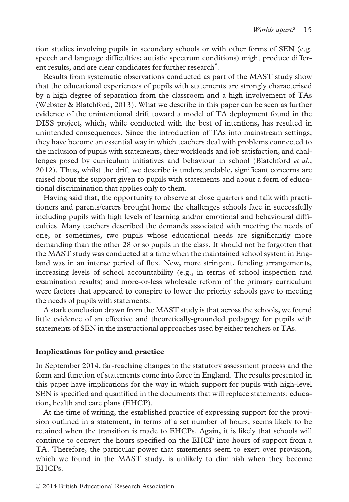tion studies involving pupils in secondary schools or with other forms of SEN (e.g. speech and language difficulties; autistic spectrum conditions) might produce different results, and are clear candidates for further research $^8$ .

Results from systematic observations conducted as part of the MAST study show that the educational experiences of pupils with statements are strongly characterised by a high degree of separation from the classroom and a high involvement of TAs (Webster & Blatchford, 2013). What we describe in this paper can be seen as further evidence of the unintentional drift toward a model of TA deployment found in the DISS project, which, while conducted with the best of intentions, has resulted in unintended consequences. Since the introduction of TAs into mainstream settings, they have become an essential way in which teachers deal with problems connected to the inclusion of pupils with statements, their workloads and job satisfaction, and challenges posed by curriculum initiatives and behaviour in school (Blatchford *et al.*, 2012). Thus, whilst the drift we describe is understandable, significant concerns are raised about the support given to pupils with statements and about a form of educational discrimination that applies only to them.

Having said that, the opportunity to observe at close quarters and talk with practitioners and parents/carers brought home the challenges schools face in successfully including pupils with high levels of learning and/or emotional and behavioural difficulties. Many teachers described the demands associated with meeting the needs of one, or sometimes, two pupils whose educational needs are significantly more demanding than the other 28 or so pupils in the class. It should not be forgotten that the MAST study was conducted at a time when the maintained school system in England was in an intense period of flux. New, more stringent, funding arrangements, increasing levels of school accountability (e.g., in terms of school inspection and examination results) and more-or-less wholesale reform of the primary curriculum were factors that appeared to conspire to lower the priority schools gave to meeting the needs of pupils with statements.

A stark conclusion drawn from the MAST study is that across the schools, we found little evidence of an effective and theoretically-grounded pedagogy for pupils with statements of SEN in the instructional approaches used by either teachers or TAs.

## Implications for policy and practice

In September 2014, far-reaching changes to the statutory assessment process and the form and function of statements come into force in England. The results presented in this paper have implications for the way in which support for pupils with high-level SEN is specified and quantified in the documents that will replace statements: education, health and care plans (EHCP).

At the time of writing, the established practice of expressing support for the provision outlined in a statement, in terms of a set number of hours, seems likely to be retained when the transition is made to EHCPs. Again, it is likely that schools will continue to convert the hours specified on the EHCP into hours of support from a TA. Therefore, the particular power that statements seem to exert over provision, which we found in the MAST study, is unlikely to diminish when they become EHCPs.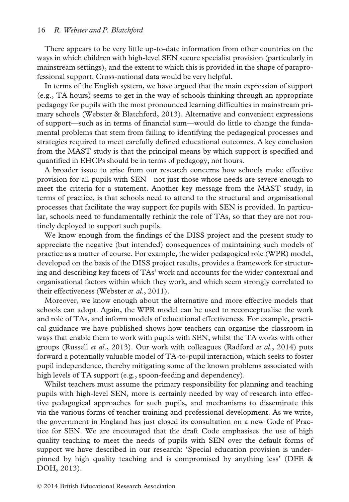There appears to be very little up-to-date information from other countries on the ways in which children with high-level SEN secure specialist provision (particularly in mainstream settings), and the extent to which this is provided in the shape of paraprofessional support. Cross-national data would be very helpful.

In terms of the English system, we have argued that the main expression of support (e.g., TA hours) seems to get in the way of schools thinking through an appropriate pedagogy for pupils with the most pronounced learning difficulties in mainstream primary schools (Webster & Blatchford, 2013). Alternative and convenient expressions of support—such as in terms of financial sum—would do little to change the fundamental problems that stem from failing to identifying the pedagogical processes and strategies required to meet carefully defined educational outcomes. A key conclusion from the MAST study is that the principal means by which support is specified and quantified in EHCPs should be in terms of pedagogy, not hours.

A broader issue to arise from our research concerns how schools make effective provision for all pupils with SEN—not just those whose needs are severe enough to meet the criteria for a statement. Another key message from the MAST study, in terms of practice, is that schools need to attend to the structural and organisational processes that facilitate the way support for pupils with SEN is provided. In particular, schools need to fundamentally rethink the role of TAs, so that they are not routinely deployed to support such pupils.

We know enough from the findings of the DISS project and the present study to appreciate the negative (but intended) consequences of maintaining such models of practice as a matter of course. For example, the wider pedagogical role (WPR) model, developed on the basis of the DISS project results, provides a framework for structuring and describing key facets of TAs' work and accounts for the wider contextual and organisational factors within which they work, and which seem strongly correlated to their effectiveness (Webster et al., 2011).

Moreover, we know enough about the alternative and more effective models that schools can adopt. Again, the WPR model can be used to reconceptualise the work and role of TAs, and inform models of educational effectiveness. For example, practical guidance we have published shows how teachers can organise the classroom in ways that enable them to work with pupils with SEN, whilst the TA works with other groups (Russell et al., 2013). Our work with colleagues (Radford et al., 2014) puts forward a potentially valuable model of TA-to-pupil interaction, which seeks to foster pupil independence, thereby mitigating some of the known problems associated with high levels of TA support (e.g., spoon-feeding and dependency).

Whilst teachers must assume the primary responsibility for planning and teaching pupils with high-level SEN, more is certainly needed by way of research into effective pedagogical approaches for such pupils, and mechanisms to disseminate this via the various forms of teacher training and professional development. As we write, the government in England has just closed its consultation on a new Code of Practice for SEN. We are encouraged that the draft Code emphasises the use of high quality teaching to meet the needs of pupils with SEN over the default forms of support we have described in our research: 'Special education provision is underpinned by high quality teaching and is compromised by anything less' (DFE & DOH, 2013).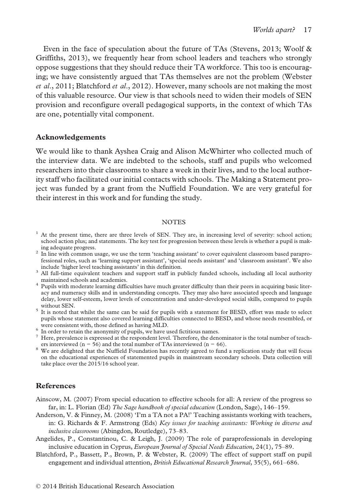Even in the face of speculation about the future of TAs (Stevens, 2013; Woolf & Griffiths, 2013), we frequently hear from school leaders and teachers who strongly oppose suggestions that they should reduce their TA workforce. This too is encouraging; we have consistently argued that TAs themselves are not the problem (Webster et al., 2011; Blatchford et al., 2012). However, many schools are not making the most of this valuable resource. Our view is that schools need to widen their models of SEN provision and reconfigure overall pedagogical supports, in the context of which TAs are one, potentially vital component.

## Acknowledgements

We would like to thank Ayshea Craig and Alison McWhirter who collected much of the interview data. We are indebted to the schools, staff and pupils who welcomed researchers into their classrooms to share a week in their lives, and to the local authority staff who facilitated our initial contacts with schools. The Making a Statement project was funded by a grant from the Nuffield Foundation. We are very grateful for their interest in this work and for funding the study.

#### **NOTES**

- $<sup>1</sup>$  At the present time, there are three levels of SEN. They are, in increasing level of severity: school action;</sup> school action plus; and statements. The key test for progression between these levels is whether a pupil is mak-
- <sup>2</sup> In line with common usage, we use the term 'teaching assistant' to cover equivalent classroom based paraprofessional roles, such as 'learning support assistant', 'special needs assistant' and 'classroom assistant'. We also
- include 'higher level teaching assistants' in this definition.<br><sup>3</sup> All full-time equivalent teachers and support staff in publicly funded schools, including all local authority<br>maintained schools and academies.
- <sup>4</sup> Pupils with moderate learning difficulties have much greater difficulty than their peers in acquiring basic literacy and numeracy skills and in understanding concepts. They may also have associated speech and language delay, lower self-esteem, lower levels of concentration and under-developed social skills, compared to pupils
- % without SEN.  $\frac{5}{10}$  It is noted that whilst the same can be said for pupils with a statement for BESD, effort was made to select pupils whose statement also covered learning difficulties connected to BESD, and whose needs resembled, or
- 
- % were consistent with, those defined as having MLD.<br>
<sup>6</sup> In order to retain the anonymity of pupils, we have used fictitious names.<br>
<sup>7</sup> Here, prevalence is expressed at the respondent level. Therefore, the denominator i
- <sup>8</sup> We are delighted that the Nuffield Foundation has recently agreed to fund a replication study that will focus on the educational experiences of statemented pupils in mainstream secondary schools. Data collection will take place over the 2015/16 school year.

# References

- Ainscow, M. (2007) From special education to effective schools for all: A review of the progress so far, in: L. Florian (Ed) The Sage handbook of special education (London, Sage), 146–159.
- Anderson, V. & Finney, M. (2008) 'I'm a TA not a PA!' Teaching assistants working with teachers, in: G. Richards & F. Armstrong (Eds) Key issues for teaching assistants: Working in diverse and inclusive classrooms (Abingdon, Routledge), 73–83.
- Angelides, P., Constantinou, C. & Leigh, J. (2009) The role of paraprofessionals in developing inclusive education in Cyprus, *European Journal of Special Needs Education*, 24(1), 75–89.
- Blatchford, P., Bassett, P., Brown, P. & Webster, R. (2009) The effect of support staff on pupil engagement and individual attention, British Educational Research Journal, 35(5), 661–686.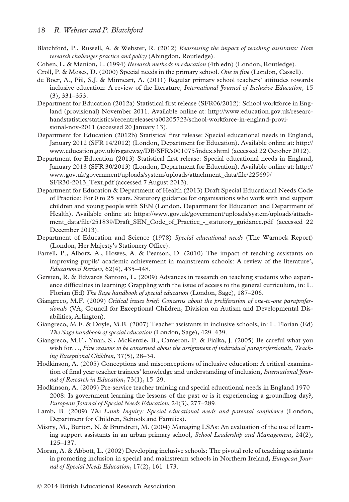- Blatchford, P., Russell, A. & Webster, R. (2012) Reassessing the impact of teaching assistants: How research challenges practice and policy (Abingdon, Routledge).
- Cohen, L. & Manion, L. (1994) Research methods in education (4th edn) (London, Routledge).
- Croll, P. & Moses, D. (2000) Special needs in the primary school. One in five (London, Cassell).
- de Boer, A., Pijl, S.J. & Minneart, A. (2011) Regular primary school teachers' attitudes towards inclusive education: A review of the literature, *International Journal of Inclusive Education*, 15 (3), 331–353.
- Department for Education (2012a) Statistical first release (SFR06/2012): School workforce in England (provisional) November 2011. Available online at: http://www.education.gov.uk/researchandstatistics/statistics/recentreleases/a00205723/school-workforce-in-england-provisional-nov-2011 (accessed 20 January 13).
- Department for Education (2012b) Statistical first release: Special educational needs in England, January 2012 (SFR 14/2012) (London, Department for Education). Available online at: http:// www.education.gov.uk/rsgateway/DB/SFR/s001075/index.shtml (accessed 22 October 2012).
- Department for Education (2013) Statistical first release: Special educational needs in England, January 2013 (SFR 30/2013) (London, Department for Education). Available online at: http:// www.gov.uk/government/uploads/system/uploads/attachment\_data/file/225699/ SFR30-2013\_Text.pdf (accessed 7 August 2013).
- Department for Education & Department of Health (2013) Draft Special Educational Needs Code of Practice: For 0 to 25 years. Statutory guidance for organisations who work with and support children and young people with SEN (London, Department for Education and Department of Health). Available online at: https://www.gov.uk/government/uploads/system/uploads/attachment data/file/251839/Draft SEN Code of Practice - statutory guidance.pdf (accessed 22 December 2013).
- Department of Education and Science (1978) Special educational needs (The Warnock Report) (London, Her Majesty's Stationery Office).
- Farrell, P., Alborz, A., Howes, A. & Pearson, D. (2010) The impact of teaching assistants on improving pupils' academic achievement in mainstream schools: A review of the literature', Educational Review, 62(4), 435–448.
- Gersten, R. & Edwards Santoro, L. (2009) Advances in research on teaching students who experience difficulties in learning: Grappling with the issue of access to the general curriculum, in: L. Florian (Ed) The Sage handbook of special education (London, Sage), 187–206.
- Giangreco, M.F. (2009) Critical issues brief: Concerns about the proliferation of one-to-one paraprofessionals (VA, Council for Exceptional Children, Division on Autism and Developmental Disabilities, Arlington).
- Giangreco, M.F. & Doyle, M.B. (2007) Teacher assistants in inclusive schools, in: L. Florian (Ed) The Sage handbook of special education (London, Sage), 429–439.
- Giangreco, M.F., Yuan, S., McKenzie, B., Cameron, P. & Fialka, J. (2005) Be careful what you wish for..., Five reasons to be concerned about the assignment of individual paraprofessionals, Teaching Exceptional Children, 37(5), 28–34.
- Hodkinson, A. (2005) Conceptions and misconceptions of inclusive education: A critical examination of final year teacher trainees' knowledge and understanding of inclusion, International Journal of Research in Education, 73(1), 15–29.
- Hodkinson, A. (2009) Pre-service teacher training and special educational needs in England 1970– 2008: Is government learning the lessons of the past or is it experiencing a groundhog day?, European Journal of Special Needs Education, 24(3), 277–289.
- Lamb, B. (2009) The Lamb Inquiry: Special educational needs and parental confidence (London, Department for Children, Schools and Families).
- Mistry, M., Burton, N. & Brundrett, M. (2004) Managing LSAs: An evaluation of the use of learning support assistants in an urban primary school, School Leadership and Management, 24(2), 125–137.
- Moran, A. & Abbott, L. (2002) Developing inclusive schools: The pivotal role of teaching assistants in promoting inclusion in special and mainstream schools in Northern Ireland, *European Jour*nal of Special Needs Education, 17(2), 161–173.